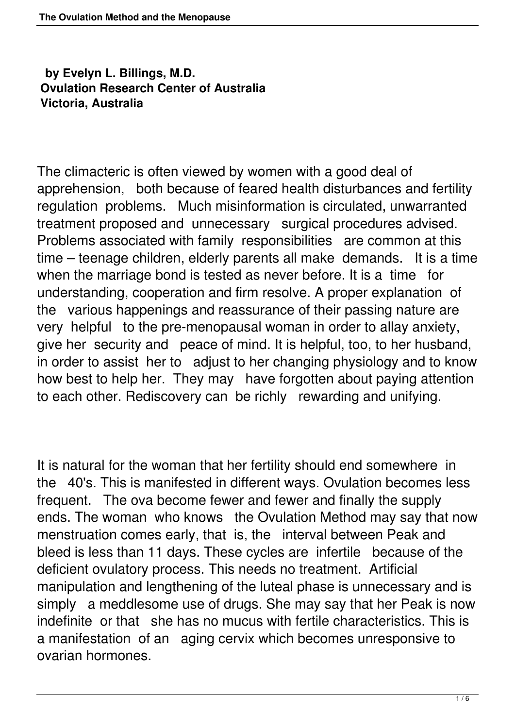## **by Evelyn L. Billings, M.D. Ovulation Research Center of Australia Victoria, Australia**

The climacteric is often viewed by women with a good deal of apprehension, both because of feared health disturbances and fertility regulation problems. Much misinformation is circulated, unwarranted treatment proposed and unnecessary surgical procedures advised. Problems associated with family responsibilities are common at this time – teenage children, elderly parents all make demands. It is a time when the marriage bond is tested as never before. It is a time for understanding, cooperation and firm resolve. A proper explanation of the various happenings and reassurance of their passing nature are very helpful to the pre-menopausal woman in order to allay anxiety, give her security and peace of mind. It is helpful, too, to her husband, in order to assist her to adjust to her changing physiology and to know how best to help her. They may have forgotten about paying attention to each other. Rediscovery can be richly rewarding and unifying.

It is natural for the woman that her fertility should end somewhere in the 40's. This is manifested in different ways. Ovulation becomes less frequent. The ova become fewer and fewer and finally the supply ends. The woman who knows the Ovulation Method may say that now menstruation comes early, that is, the interval between Peak and bleed is less than 11 days. These cycles are infertile because of the deficient ovulatory process. This needs no treatment. Artificial manipulation and lengthening of the luteal phase is unnecessary and is simply a meddlesome use of drugs. She may say that her Peak is now indefinite or that she has no mucus with fertile characteristics. This is a manifestation of an aging cervix which becomes unresponsive to ovarian hormones.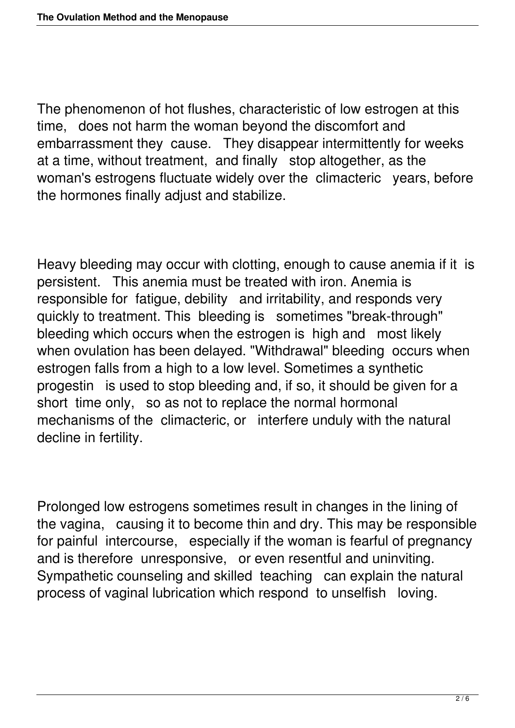The phenomenon of hot flushes, characteristic of low estrogen at this time, does not harm the woman beyond the discomfort and embarrassment they cause. They disappear intermittently for weeks at a time, without treatment, and finally stop altogether, as the woman's estrogens fluctuate widely over the climacteric years, before the hormones finally adjust and stabilize.

Heavy bleeding may occur with clotting, enough to cause anemia if it is persistent. This anemia must be treated with iron. Anemia is responsible for fatigue, debility and irritability, and responds very quickly to treatment. This bleeding is sometimes "break-through" bleeding which occurs when the estrogen is high and most likely when ovulation has been delayed. "Withdrawal" bleeding occurs when estrogen falls from a high to a low level. Sometimes a synthetic progestin is used to stop bleeding and, if so, it should be given for a short time only, so as not to replace the normal hormonal mechanisms of the climacteric, or interfere unduly with the natural decline in fertility.

Prolonged low estrogens sometimes result in changes in the lining of the vagina, causing it to become thin and dry. This may be responsible for painful intercourse, especially if the woman is fearful of pregnancy and is therefore unresponsive, or even resentful and uninviting. Sympathetic counseling and skilled teaching can explain the natural process of vaginal lubrication which respond to unselfish loving.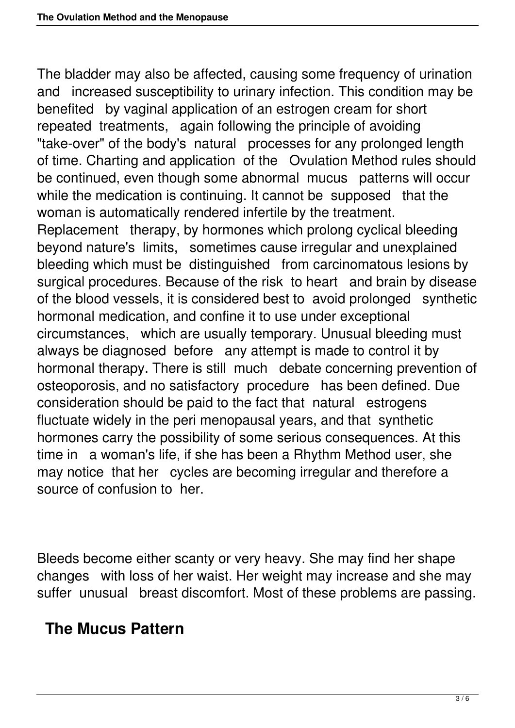The bladder may also be affected, causing some frequency of urination and increased susceptibility to urinary infection. This condition may be benefited by vaginal application of an estrogen cream for short repeated treatments, again following the principle of avoiding "take-over" of the body's natural processes for any prolonged length of time. Charting and application of the Ovulation Method rules should be continued, even though some abnormal mucus patterns will occur while the medication is continuing. It cannot be supposed that the woman is automatically rendered infertile by the treatment. Replacement therapy, by hormones which prolong cyclical bleeding beyond nature's limits, sometimes cause irregular and unexplained bleeding which must be distinguished from carcinomatous lesions by surgical procedures. Because of the risk to heart and brain by disease of the blood vessels, it is considered best to avoid prolonged synthetic hormonal medication, and confine it to use under exceptional circumstances, which are usually temporary. Unusual bleeding must always be diagnosed before any attempt is made to control it by hormonal therapy. There is still much debate concerning prevention of osteoporosis, and no satisfactory procedure has been defined. Due consideration should be paid to the fact that natural estrogens fluctuate widely in the peri menopausal years, and that synthetic hormones carry the possibility of some serious consequences. At this time in a woman's life, if she has been a Rhythm Method user, she may notice that her cycles are becoming irregular and therefore a source of confusion to her.

Bleeds become either scanty or very heavy. She may find her shape changes with loss of her waist. Her weight may increase and she may suffer unusual breast discomfort. Most of these problems are passing.

## **The Mucus Pattern**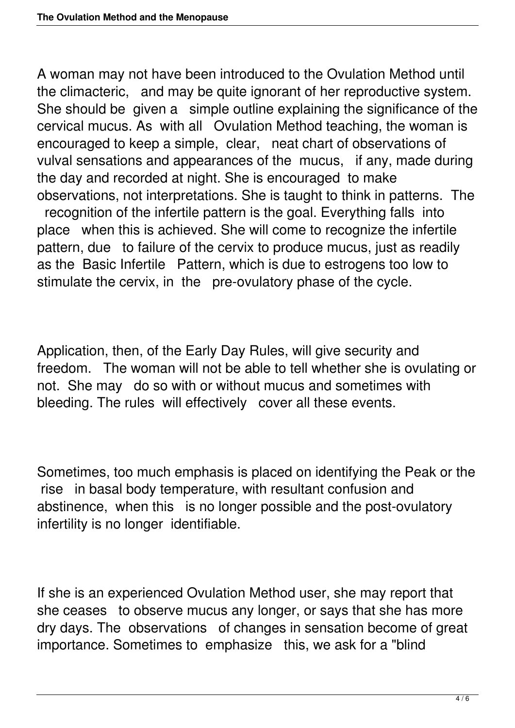A woman may not have been introduced to the Ovulation Method until the climacteric, and may be quite ignorant of her reproductive system. She should be given a simple outline explaining the significance of the cervical mucus. As with all Ovulation Method teaching, the woman is encouraged to keep a simple, clear, neat chart of observations of vulval sensations and appearances of the mucus, if any, made during the day and recorded at night. She is encouraged to make observations, not interpretations. She is taught to think in patterns. The recognition of the infertile pattern is the goal. Everything falls into place when this is achieved. She will come to recognize the infertile pattern, due to failure of the cervix to produce mucus, just as readily as the Basic Infertile Pattern, which is due to estrogens too low to stimulate the cervix, in the pre-ovulatory phase of the cycle.

Application, then, of the Early Day Rules, will give security and freedom. The woman will not be able to tell whether she is ovulating or not. She may do so with or without mucus and sometimes with bleeding. The rules will effectively cover all these events.

Sometimes, too much emphasis is placed on identifying the Peak or the rise in basal body temperature, with resultant confusion and abstinence, when this is no longer possible and the post-ovulatory infertility is no longer identifiable.

If she is an experienced Ovulation Method user, she may report that she ceases to observe mucus any longer, or says that she has more dry days. The observations of changes in sensation become of great importance. Sometimes to emphasize this, we ask for a "blind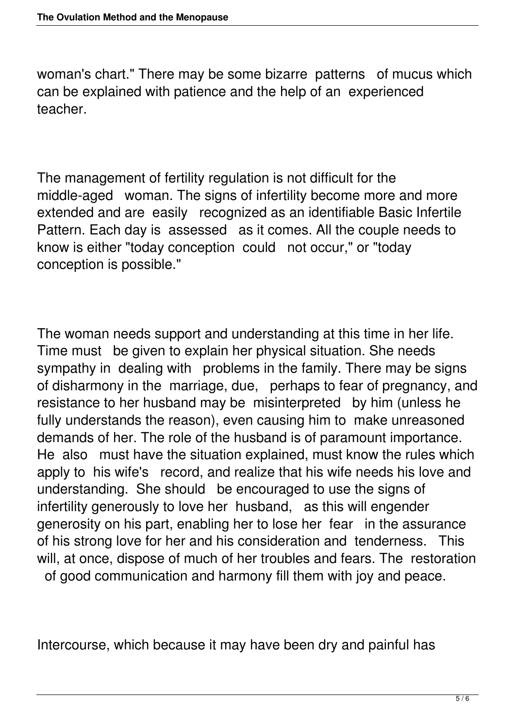woman's chart." There may be some bizarre patterns of mucus which can be explained with patience and the help of an experienced teacher.

The management of fertility regulation is not difficult for the middle-aged woman. The signs of infertility become more and more extended and are easily recognized as an identifiable Basic Infertile Pattern. Each day is assessed as it comes. All the couple needs to know is either "today conception could not occur," or "today conception is possible."

The woman needs support and understanding at this time in her life. Time must be given to explain her physical situation. She needs sympathy in dealing with problems in the family. There may be signs of disharmony in the marriage, due, perhaps to fear of pregnancy, and resistance to her husband may be misinterpreted by him (unless he fully understands the reason), even causing him to make unreasoned demands of her. The role of the husband is of paramount importance. He also must have the situation explained, must know the rules which apply to his wife's record, and realize that his wife needs his love and understanding. She should be encouraged to use the signs of infertility generously to love her husband, as this will engender generosity on his part, enabling her to lose her fear in the assurance of his strong love for her and his consideration and tenderness. This will, at once, dispose of much of her troubles and fears. The restoration of good communication and harmony fill them with joy and peace.

Intercourse, which because it may have been dry and painful has